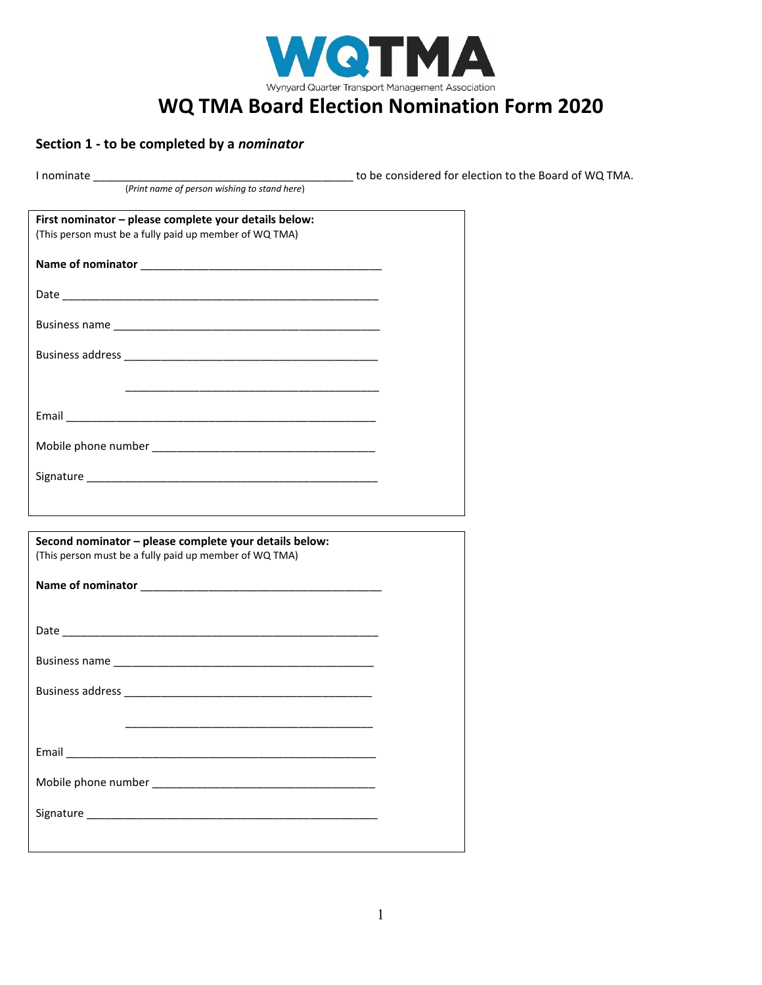

# **Section 1 - to be completed by a** *nominator*

|                                                        | to be considered for election to the Board of WQ TMA. |
|--------------------------------------------------------|-------------------------------------------------------|
|                                                        |                                                       |
|                                                        |                                                       |
| First nominator - please complete your details below:  |                                                       |
| (This person must be a fully paid up member of WQ TMA) |                                                       |
|                                                        |                                                       |
|                                                        |                                                       |
|                                                        |                                                       |
|                                                        |                                                       |
|                                                        |                                                       |
|                                                        |                                                       |
|                                                        |                                                       |
|                                                        |                                                       |
|                                                        |                                                       |
|                                                        |                                                       |
|                                                        |                                                       |
|                                                        |                                                       |
|                                                        |                                                       |
|                                                        |                                                       |
|                                                        |                                                       |
|                                                        |                                                       |
|                                                        |                                                       |
|                                                        |                                                       |
| Second nominator - please complete your details below: |                                                       |
| (This person must be a fully paid up member of WQ TMA) |                                                       |
|                                                        |                                                       |
|                                                        |                                                       |
|                                                        |                                                       |
|                                                        |                                                       |
|                                                        |                                                       |
|                                                        |                                                       |
|                                                        |                                                       |
|                                                        |                                                       |
|                                                        |                                                       |
|                                                        |                                                       |
|                                                        |                                                       |
|                                                        |                                                       |
|                                                        |                                                       |
|                                                        |                                                       |
|                                                        |                                                       |
|                                                        |                                                       |
|                                                        |                                                       |
|                                                        |                                                       |
|                                                        |                                                       |